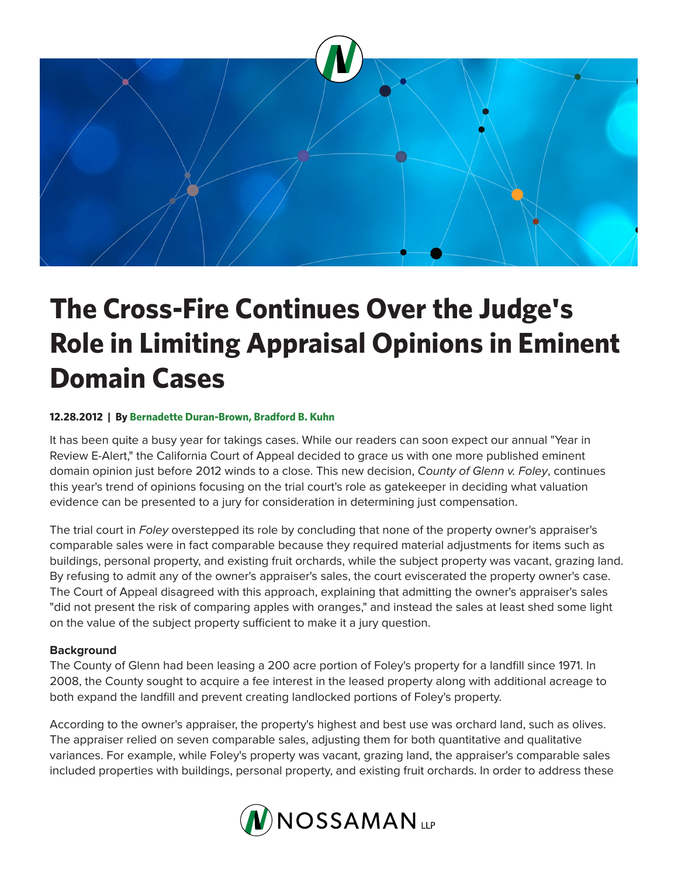

# **The Cross-Fire Continues Over the Judge's Role in Limiting Appraisal Opinions in Eminent Domain Cases**

## **12.28.2012 | By Bernadette Duran-Brown, Bradford B. Kuhn**

It has been quite a busy year for takings cases. While our readers can soon expect our annual "Year in Review E-Alert," the California Court of Appeal decided to grace us with one more published eminent domain opinion just before 2012 winds to a close. This new decision, *County of Glenn v. Foley*, continues this year's trend of opinions focusing on the trial court's role as gatekeeper in deciding what valuation evidence can be presented to a jury for consideration in determining just compensation.

The trial court in *Foley* overstepped its role by concluding that none of the property owner's appraiser's comparable sales were in fact comparable because they required material adjustments for items such as buildings, personal property, and existing fruit orchards, while the subject property was vacant, grazing land. By refusing to admit any of the owner's appraiser's sales, the court eviscerated the property owner's case. The Court of Appeal disagreed with this approach, explaining that admitting the owner's appraiser's sales "did not present the risk of comparing apples with oranges," and instead the sales at least shed some light on the value of the subject property sufficient to make it a jury question.

### **Background**

The County of Glenn had been leasing a 200 acre portion of Foley's property for a landfill since 1971. In 2008, the County sought to acquire a fee interest in the leased property along with additional acreage to both expand the landfill and prevent creating landlocked portions of Foley's property.

According to the owner's appraiser, the property's highest and best use was orchard land, such as olives. The appraiser relied on seven comparable sales, adjusting them for both quantitative and qualitative variances. For example, while Foley's property was vacant, grazing land, the appraiser's comparable sales included properties with buildings, personal property, and existing fruit orchards. In order to address these

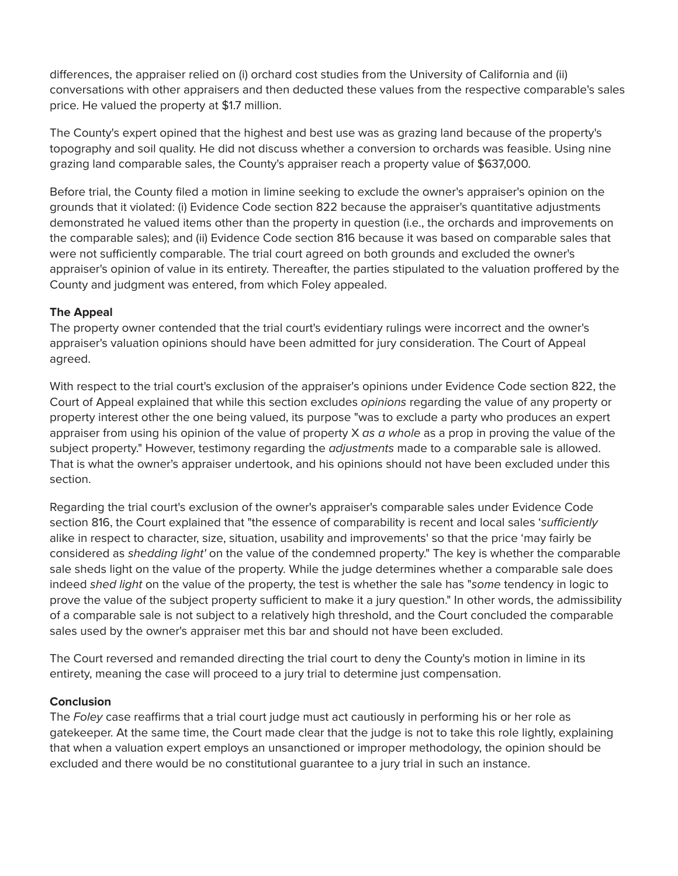differences, the appraiser relied on (i) orchard cost studies from the University of California and (ii) conversations with other appraisers and then deducted these values from the respective comparable's sales price. He valued the property at \$1.7 million.

The County's expert opined that the highest and best use was as grazing land because of the property's topography and soil quality. He did not discuss whether a conversion to orchards was feasible. Using nine grazing land comparable sales, the County's appraiser reach a property value of \$637,000.

Before trial, the County filed a motion in limine seeking to exclude the owner's appraiser's opinion on the grounds that it violated: (i) Evidence Code section 822 because the appraiser's quantitative adjustments demonstrated he valued items other than the property in question (i.e., the orchards and improvements on the comparable sales); and (ii) Evidence Code section 816 because it was based on comparable sales that were not sufficiently comparable. The trial court agreed on both grounds and excluded the owner's appraiser's opinion of value in its entirety. Thereafter, the parties stipulated to the valuation proffered by the County and judgment was entered, from which Foley appealed.

### **The Appeal**

The property owner contended that the trial court's evidentiary rulings were incorrect and the owner's appraiser's valuation opinions should have been admitted for jury consideration. The Court of Appeal agreed.

With respect to the trial court's exclusion of the appraiser's opinions under Evidence Code section 822, the Court of Appeal explained that while this section excludes *opinions* regarding the value of any property or property interest other the one being valued, its purpose "was to exclude a party who produces an expert appraiser from using his opinion of the value of property X *as a whole* as a prop in proving the value of the subject property." However, testimony regarding the *adjustments* made to a comparable sale is allowed. That is what the owner's appraiser undertook, and his opinions should not have been excluded under this section.

Regarding the trial court's exclusion of the owner's appraiser's comparable sales under Evidence Code section 816, the Court explained that "the essence of comparability is recent and local sales '*sufficiently* alike in respect to character, size, situation, usability and improvements' so that the price 'may fairly be considered as *shedding light'* on the value of the condemned property." The key is whether the comparable sale sheds light on the value of the property. While the judge determines whether a comparable sale does indeed *shed light* on the value of the property, the test is whether the sale has "*some* tendency in logic to prove the value of the subject property sufficient to make it a jury question." In other words, the admissibility of a comparable sale is not subject to a relatively high threshold, and the Court concluded the comparable sales used by the owner's appraiser met this bar and should not have been excluded.

The Court reversed and remanded directing the trial court to deny the County's motion in limine in its entirety, meaning the case will proceed to a jury trial to determine just compensation.

### **Conclusion**

The *Foley* case reaffirms that a trial court judge must act cautiously in performing his or her role as gatekeeper. At the same time, the Court made clear that the judge is not to take this role lightly, explaining that when a valuation expert employs an unsanctioned or improper methodology, the opinion should be excluded and there would be no constitutional guarantee to a jury trial in such an instance.